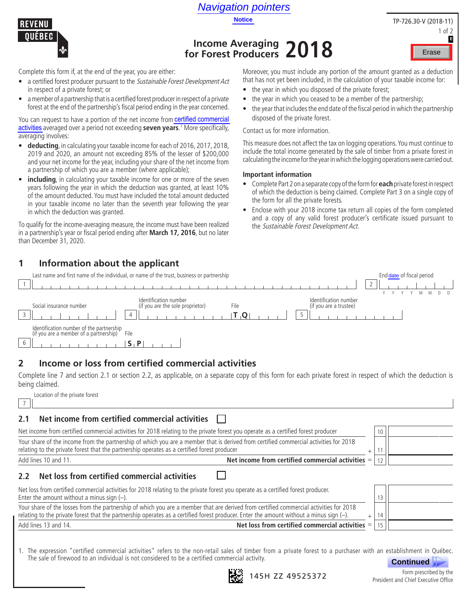



# **Income Averaging for Forest Producers 2018**

Complete this form if, at the end of the year, you are either:

- a certified forest producer pursuant to the Sustainable Forest Development Act in respect of a private forest; or
- a member of a partnership that is a certified forest producer in respect of a private forest at the end of the partnership's fiscal period ending in the year concerned. **Activities 19.19 Activities Activities and the pertugation of the pertugation of the vear, you are either:**<br> **Complete this form if, at the end of the year, you are either:**<br> **Complete this form if, at the end of the year**

You can request to have a portion of the net income from **certified commercial** activities averaged over a period not exceeding **seven years**. 1 More specifically, averaging involves:

- **deducting**, in calculating your taxable income for each of 2016, 2017, 2018, 2019 and 2020, an amount not exceeding 85% of the lesser of \$200,000 and your net income for the year, including your share of the net income from a partnership of which you are a member (where applicable);
- **including**, in calculating your taxable income for one or more of the seven years following the year in which the deduction was granted, at least 10% of the amount deducted. You must have included the total amount deducted in your taxable income no later than the seventh year following the year in which the deduction was granted.

To qualify for the income-averaging measure, the income must have been realized in a partnership's year or fiscal period ending after **March 17, 2016**, but no later than December 31, 2020.

# **1 Information about the applicant**

Moreover, you must include any portion of the amount granted as a deduction that has not yet been included, in the calculation of your taxable income for:

- the year in which you disposed of the private forest;
- the year in which you ceased to be a member of the partnership;
- the year that includes the end date of the fiscal period in which the partnership disposed of the private forest.

Contact us for more information.

This measure does not affect the tax on logging operations. You must continue to include the total income generated by the sale of timber from a private forest in calculating the income for the year in which the logging operations were carried out.

#### **Important information**

- Complete Part 2 on a separate copy of the form for **each** private forest in respect of which the deduction is being claimed. Complete Part 3 on a single copy of the form for all the private forests. Erase<br>
I granted as a deduction<br>
ur taxable income for:<br>
<br>
<br>
Partnership;<br>
lin which the partnership<br>
ons. You must continue to<br>
ons. You must continue to<br>
Part 3 on a single copy of<br>
Sof the form completed<br>
Sof the form c
- Enclose with your 2018 income tax return all copies of the form completed and a copy of any valid forest producer's certificate issued pursuant to the Sustainable Forest Development Act.

|   | Last name and first name of the individual, or name of the trust, business or partnership | End date of fiscal period                                 |                                                         |        |  |
|---|-------------------------------------------------------------------------------------------|-----------------------------------------------------------|---------------------------------------------------------|--------|--|
|   |                                                                                           |                                                           |                                                         | $\sim$ |  |
|   |                                                                                           |                                                           |                                                         |        |  |
|   | Social insurance number                                                                   | Identification number<br>(if you are the sole proprietor) | Identification number<br>(if you are a trustee)<br>File |        |  |
|   |                                                                                           |                                                           |                                                         |        |  |
|   | Identification number of the partnership<br>(if you are a member of a partnership)        | File                                                      |                                                         |        |  |
| b |                                                                                           |                                                           |                                                         |        |  |

# **2 Income or loss from certified commercial activities**

Complete line 7 and section 2.1 or section 2.2, as applicable, on a separate copy of this form for each private forest in respect of which the deduction is being claimed.

Location of the private forest 7

### **2.1 Net income from certified commercial activities**

| Your share of the income from the partnership of which you are a member that is derived from certified commercial activities for 2018<br>relating to the private forest that the partnership operates as a certified forest producer<br>Add lines 10 and 11. |                                                   |  |
|--------------------------------------------------------------------------------------------------------------------------------------------------------------------------------------------------------------------------------------------------------------|---------------------------------------------------|--|
| Net loss from certified commercial activities<br>2.2                                                                                                                                                                                                         | Net income from certified commercial activities = |  |
| Net loss from certified commercial activities for 2018 relating to the private forest you operate as a certified forest producer.<br>$\Gamma$ ntar the amount without a minus sign $\Lambda$                                                                 |                                                   |  |

| Enter the amount without a minus sign $(-)$ .                                                                                           |  |  |  |
|-----------------------------------------------------------------------------------------------------------------------------------------|--|--|--|
| Your share of the losses from the partnership of which you are a member that are derived from certified commercial activities for 2018  |  |  |  |
| relating to the private forest that the partnership operates as a certified forest producer. Enter the amount without a minus sign (-). |  |  |  |
| Net loss from certified commercial activities $=$   15  <br>Add lines 13 and 14.                                                        |  |  |  |

1. The expression "certified commercial activities" refers to the non-retail sales of timber from a private forest to a purchaser with an establishment in Québec. The sale of firewood to an individual is not considered to be a certified commercial activity.





Form prescribed by the President and Chief Executive Office